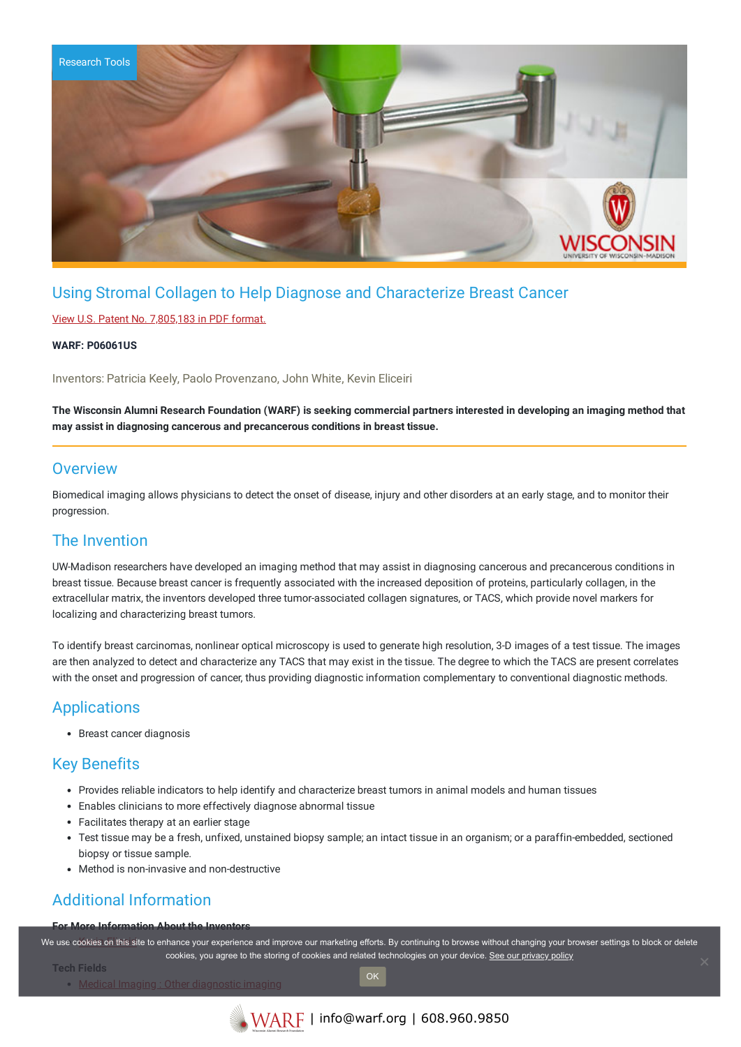

# Using Stromal Collagen to Help Diagnose and Characterize Breast Cancer

#### View U.S. Patent No. [7,805,183](https://www.warf.org/wp-content/uploads/technologies/ipstatus/P06061US.PDF) in PDF format.

#### **WARF: P06061US**

Inventors: Patricia Keely, Paolo Provenzano, John White, Kevin Eliceiri

The Wisconsin Alumni Research Foundation (WARF) is seeking commercial partners interested in developing an imaging method that **may assist in diagnosing cancerous and precancerous conditions in breast tissue.**

### **Overview**

Biomedical imaging allows physicians to detect the onset of disease, injury and other disorders at an early stage, and to monitor their progression.

### The Invention

UW-Madison researchers have developed an imaging method that may assist in diagnosing cancerous and precancerous conditions in breast tissue. Because breast cancer is frequently associated with the increased deposition of proteins, particularly collagen, in the extracellular matrix, the inventors developed three tumor-associated collagen signatures, or TACS, which provide novel markers for localizing and characterizing breast tumors.

To identify breast carcinomas, nonlinear optical microscopy is used to generate high resolution, 3-D images of a test tissue. The images are then analyzed to detect and characterize any TACS that may exist in the tissue. The degree to which the TACS are present correlates with the onset and progression of cancer, thus providing diagnostic information complementary to conventional diagnostic methods.

## Applications

Breast cancer diagnosis

## Key Benefits

- Provides reliable indicators to help identify and characterize breast tumors in animal models and human tissues
- Enables clinicians to more effectively diagnose abnormal tissue
- Facilitates therapy at an earlier stage
- Test tissue may be a fresh, unfixed, unstained biopsy sample; an intact tissue in an organism; or a paraffin-embedded, sectioned biopsy or tissue sample.
- Method is non-invasive and non-destructive

# Additional Information

#### **For More Information About the Inventors**

We use c[ookies on this si](http://loci.wisc.edu/people/kevin-eliceiri)te to enhance your experience and improve our marketing efforts. By continuing to browse without changing your browser settings to block or delete cookies, you agree to the storing of cookies and related technologies on your device. [See our privacy policy](https://www.warf.org/privacy-policy/)

OK

**Tech Fields**

Medical Imaging : Other [diagnostic](https://www.warf.org/search-results/?s_tech_category=other-diagnostic-imaging&searchwp=&search-technology=1) imaging